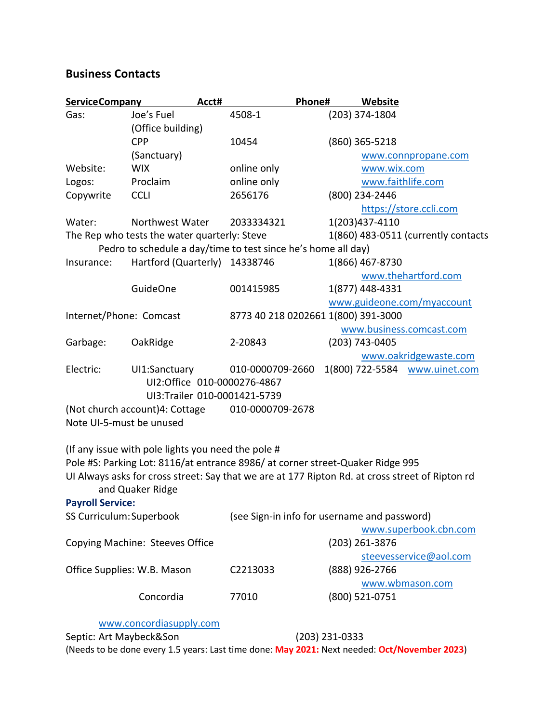## **Business Contacts**

| <b>ServiceCompany</b>           |                                                    | Acct# | Phone#                                                                         |                | Website                                                                                         |  |  |
|---------------------------------|----------------------------------------------------|-------|--------------------------------------------------------------------------------|----------------|-------------------------------------------------------------------------------------------------|--|--|
| Gas:                            | Joe's Fuel                                         |       | 4508-1                                                                         |                | (203) 374-1804                                                                                  |  |  |
|                                 | (Office building)                                  |       |                                                                                |                |                                                                                                 |  |  |
|                                 | <b>CPP</b>                                         |       | 10454                                                                          |                | $(860)$ 365-5218                                                                                |  |  |
|                                 | (Sanctuary)                                        |       |                                                                                |                | www.connpropane.com                                                                             |  |  |
| Website:                        | <b>WIX</b>                                         |       | online only                                                                    |                | www.wix.com                                                                                     |  |  |
| Logos:                          | Proclaim                                           |       | online only                                                                    |                | www.faithlife.com                                                                               |  |  |
| Copywrite                       | <b>CCLI</b>                                        |       | 2656176                                                                        |                | (800) 234-2446                                                                                  |  |  |
|                                 |                                                    |       |                                                                                |                | https://store.ccli.com                                                                          |  |  |
| Water:                          | Northwest Water                                    |       | 2033334321                                                                     |                | 1(203)437-4110                                                                                  |  |  |
|                                 | The Rep who tests the water quarterly: Steve       |       |                                                                                |                | 1(860) 483-0511 (currently contacts                                                             |  |  |
|                                 |                                                    |       | Pedro to schedule a day/time to test since he's home all day)                  |                |                                                                                                 |  |  |
| Insurance:                      | Hartford (Quarterly) 14338746                      |       |                                                                                |                | 1(866) 467-8730                                                                                 |  |  |
|                                 |                                                    |       |                                                                                |                | www.thehartford.com                                                                             |  |  |
|                                 | <b>GuideOne</b>                                    |       | 001415985                                                                      |                | 1(877) 448-4331                                                                                 |  |  |
|                                 |                                                    |       |                                                                                |                | www.guideone.com/myaccount                                                                      |  |  |
| Internet/Phone: Comcast         |                                                    |       | 8773 40 218 0202661 1(800) 391-3000                                            |                |                                                                                                 |  |  |
|                                 |                                                    |       |                                                                                |                | www.business.comcast.com                                                                        |  |  |
| Garbage:                        | OakRidge                                           |       | 2-20843                                                                        |                | (203) 743-0405                                                                                  |  |  |
|                                 |                                                    |       |                                                                                |                | www.oakridgewaste.com                                                                           |  |  |
| Electric:                       | UI1:Sanctuary                                      |       | 010-0000709-2660                                                               |                | 1(800) 722-5584 www.uinet.com                                                                   |  |  |
|                                 | UI2:Office 010-0000276-4867                        |       |                                                                                |                |                                                                                                 |  |  |
|                                 |                                                    |       | UI3:Trailer 010-0001421-5739                                                   |                |                                                                                                 |  |  |
| (Not church account) 4: Cottage |                                                    |       | 010-0000709-2678                                                               |                |                                                                                                 |  |  |
| Note UI-5-must be unused        |                                                    |       |                                                                                |                |                                                                                                 |  |  |
|                                 |                                                    |       |                                                                                |                |                                                                                                 |  |  |
|                                 | (If any issue with pole lights you need the pole # |       |                                                                                |                |                                                                                                 |  |  |
|                                 |                                                    |       | Pole #S: Parking Lot: 8116/at entrance 8986/ at corner street-Quaker Ridge 995 |                |                                                                                                 |  |  |
|                                 |                                                    |       |                                                                                |                | UI Always asks for cross street: Say that we are at 177 Ripton Rd. at cross street of Ripton rd |  |  |
|                                 | and Quaker Ridge                                   |       |                                                                                |                |                                                                                                 |  |  |
| <b>Payroll Service:</b>         |                                                    |       |                                                                                |                |                                                                                                 |  |  |
| SS Curriculum: Superbook        |                                                    |       | (see Sign-in info for username and password)                                   |                |                                                                                                 |  |  |
|                                 |                                                    |       |                                                                                |                | www.superbook.cbn.com                                                                           |  |  |
| Copying Machine: Steeves Office |                                                    |       |                                                                                | (203) 261-3876 |                                                                                                 |  |  |
|                                 |                                                    |       |                                                                                |                | steevesservice@aol.com                                                                          |  |  |
| Office Supplies: W.B. Mason     |                                                    |       | C2213033                                                                       |                | (888) 926-2766                                                                                  |  |  |
|                                 |                                                    |       |                                                                                |                | www.wbmason.com                                                                                 |  |  |
|                                 | Concordia                                          |       | 77010                                                                          |                | (800) 521-0751                                                                                  |  |  |
|                                 |                                                    |       |                                                                                |                |                                                                                                 |  |  |
|                                 | www.concordiasupply.com                            |       |                                                                                |                |                                                                                                 |  |  |

Septic: Art Maybeck&Son (203) 231-0333 (Needs to be done every 1.5 years: Last time done: **May 2021:** Next needed: **Oct/November 2023**)